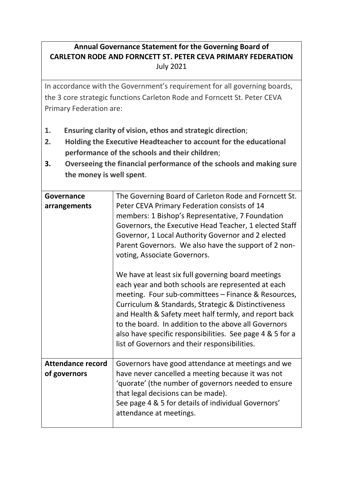## **Annual Governance Statement for the Governing Board of CARLETON RODE AND FORNCETT ST. PETER CEVA PRIMARY FEDERATION** July 2021

In accordance with the Government's requirement for all governing boards, the 3 core strategic functions Carleton Rode and Forncett St. Peter CEVA Primary Federation are:

- **1. Ensuring clarity of vision, ethos and strategic direction**;
- **2. Holding the Executive Headteacher to account for the educational performance of the schools and their children**;
- **3. Overseeing the financial performance of the schools and making sure the money is well spent**.

| The Governing Board of Carleton Rode and Forncett St.<br>Peter CEVA Primary Federation consists of 14<br>members: 1 Bishop's Representative, 7 Foundation<br>Governors, the Executive Head Teacher, 1 elected Staff<br>Governor, 1 Local Authority Governor and 2 elected<br>Parent Governors. We also have the support of 2 non-<br>voting, Associate Governors.<br>We have at least six full governing board meetings<br>each year and both schools are represented at each |
|-------------------------------------------------------------------------------------------------------------------------------------------------------------------------------------------------------------------------------------------------------------------------------------------------------------------------------------------------------------------------------------------------------------------------------------------------------------------------------|
| meeting. Four sub-committees - Finance & Resources,<br>Curriculum & Standards, Strategic & Distinctiveness<br>and Health & Safety meet half termly, and report back<br>to the board. In addition to the above all Governors<br>also have specific responsibilities. See page 4 & 5 for a<br>list of Governors and their responsibilities.                                                                                                                                     |
| Governors have good attendance at meetings and we<br>have never cancelled a meeting because it was not<br>'quorate' (the number of governors needed to ensure<br>that legal decisions can be made).<br>See page 4 & 5 for details of individual Governors'<br>attendance at meetings.                                                                                                                                                                                         |
|                                                                                                                                                                                                                                                                                                                                                                                                                                                                               |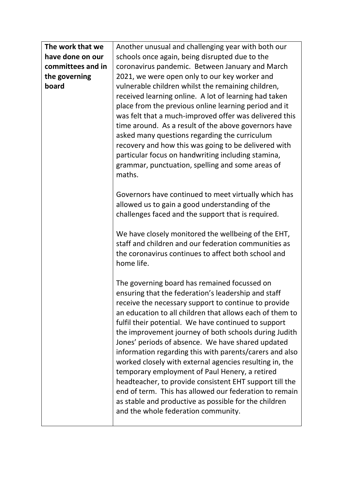| The work that we  | Another unusual and challenging year with both our                                                                                                                                                                                                                                                                                                                                                                                                                                                                                                                                                                                                                                                                                                                                         |
|-------------------|--------------------------------------------------------------------------------------------------------------------------------------------------------------------------------------------------------------------------------------------------------------------------------------------------------------------------------------------------------------------------------------------------------------------------------------------------------------------------------------------------------------------------------------------------------------------------------------------------------------------------------------------------------------------------------------------------------------------------------------------------------------------------------------------|
| have done on our  | schools once again, being disrupted due to the                                                                                                                                                                                                                                                                                                                                                                                                                                                                                                                                                                                                                                                                                                                                             |
| committees and in | coronavirus pandemic. Between January and March                                                                                                                                                                                                                                                                                                                                                                                                                                                                                                                                                                                                                                                                                                                                            |
| the governing     | 2021, we were open only to our key worker and                                                                                                                                                                                                                                                                                                                                                                                                                                                                                                                                                                                                                                                                                                                                              |
| board             | vulnerable children whilst the remaining children,<br>received learning online. A lot of learning had taken<br>place from the previous online learning period and it<br>was felt that a much-improved offer was delivered this<br>time around. As a result of the above governors have<br>asked many questions regarding the curriculum<br>recovery and how this was going to be delivered with<br>particular focus on handwriting including stamina,<br>grammar, punctuation, spelling and some areas of<br>maths.                                                                                                                                                                                                                                                                        |
|                   | Governors have continued to meet virtually which has<br>allowed us to gain a good understanding of the<br>challenges faced and the support that is required.<br>We have closely monitored the wellbeing of the EHT,<br>staff and children and our federation communities as                                                                                                                                                                                                                                                                                                                                                                                                                                                                                                                |
|                   | the coronavirus continues to affect both school and<br>home life.                                                                                                                                                                                                                                                                                                                                                                                                                                                                                                                                                                                                                                                                                                                          |
|                   | The governing board has remained focussed on<br>ensuring that the federation's leadership and staff<br>receive the necessary support to continue to provide<br>an education to all children that allows each of them to<br>fulfil their potential. We have continued to support<br>the improvement journey of both schools during Judith<br>Jones' periods of absence. We have shared updated<br>information regarding this with parents/carers and also<br>worked closely with external agencies resulting in, the<br>temporary employment of Paul Henery, a retired<br>headteacher, to provide consistent EHT support till the<br>end of term. This has allowed our federation to remain<br>as stable and productive as possible for the children<br>and the whole federation community. |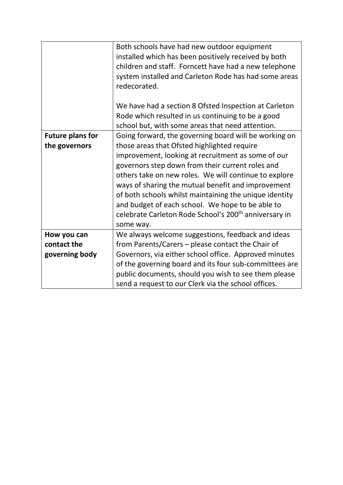|                         | Both schools have had new outdoor equipment                       |  |  |  |  |  |
|-------------------------|-------------------------------------------------------------------|--|--|--|--|--|
|                         | installed which has been positively received by both              |  |  |  |  |  |
|                         | children and staff. Forncett have had a new telephone             |  |  |  |  |  |
|                         | system installed and Carleton Rode has had some areas             |  |  |  |  |  |
|                         | redecorated.                                                      |  |  |  |  |  |
|                         |                                                                   |  |  |  |  |  |
|                         | We have had a section 8 Ofsted Inspection at Carleton             |  |  |  |  |  |
|                         | Rode which resulted in us continuing to be a good                 |  |  |  |  |  |
|                         | school but, with some areas that need attention.                  |  |  |  |  |  |
| <b>Future plans for</b> | Going forward, the governing board will be working on             |  |  |  |  |  |
| the governors           | those areas that Ofsted highlighted require                       |  |  |  |  |  |
|                         | improvement, looking at recruitment as some of our                |  |  |  |  |  |
|                         | governors step down from their current roles and                  |  |  |  |  |  |
|                         | others take on new roles. We will continue to explore             |  |  |  |  |  |
|                         | ways of sharing the mutual benefit and improvement                |  |  |  |  |  |
|                         | of both schools whilst maintaining the unique identity            |  |  |  |  |  |
|                         | and budget of each school. We hope to be able to                  |  |  |  |  |  |
|                         | celebrate Carleton Rode School's 200 <sup>th</sup> anniversary in |  |  |  |  |  |
|                         | some way.                                                         |  |  |  |  |  |
| How you can             | We always welcome suggestions, feedback and ideas                 |  |  |  |  |  |
| contact the             | from Parents/Carers – please contact the Chair of                 |  |  |  |  |  |
| governing body          | Governors, via either school office. Approved minutes             |  |  |  |  |  |
|                         | of the governing board and its four sub-committees are            |  |  |  |  |  |
|                         |                                                                   |  |  |  |  |  |
|                         | public documents, should you wish to see them please              |  |  |  |  |  |
|                         | send a request to our Clerk via the school offices.               |  |  |  |  |  |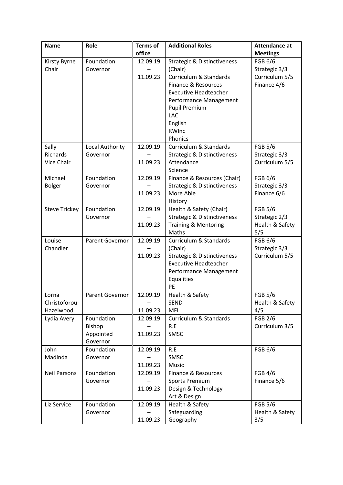| <b>Name</b>          | <b>Role</b>            | <b>Terms of</b> | <b>Additional Roles</b>                      | <b>Attendance at</b>     |
|----------------------|------------------------|-----------------|----------------------------------------------|--------------------------|
|                      |                        | office          |                                              | <b>Meetings</b>          |
| Kirsty Byrne         | Foundation             | 12.09.19        | <b>Strategic &amp; Distinctiveness</b>       | FGB 6/6                  |
| Chair                | Governor               |                 | (Chair)                                      | Strategic 3/3            |
|                      |                        | 11.09.23        | <b>Curriculum &amp; Standards</b>            | Curriculum 5/5           |
|                      |                        |                 | Finance & Resources                          | Finance 4/6              |
|                      |                        |                 | <b>Executive Headteacher</b>                 |                          |
|                      |                        |                 | Performance Management                       |                          |
|                      |                        |                 | <b>Pupil Premium</b>                         |                          |
|                      |                        |                 | LAC                                          |                          |
|                      |                        |                 | English<br>RWInc                             |                          |
|                      |                        |                 | Phonics                                      |                          |
| Sally                | Local Authority        | 12.09.19        | <b>Curriculum &amp; Standards</b>            | <b>FGB 5/6</b>           |
| Richards             | Governor               |                 | <b>Strategic &amp; Distinctiveness</b>       | Strategic 3/3            |
| Vice Chair           |                        | 11.09.23        | Attendance                                   | Curriculum 5/5           |
|                      |                        |                 | Science                                      |                          |
| Michael              | Foundation             | 12.09.19        | Finance & Resources (Chair)                  | FGB 6/6                  |
| <b>Bolger</b>        | Governor               |                 | <b>Strategic &amp; Distinctiveness</b>       | Strategic 3/3            |
|                      |                        | 11.09.23        | More Able                                    | Finance 6/6              |
|                      |                        |                 | History                                      |                          |
| <b>Steve Trickey</b> | Foundation             | 12.09.19        | Health & Safety (Chair)                      | <b>FGB 5/6</b>           |
|                      | Governor               |                 | <b>Strategic &amp; Distinctiveness</b>       | Strategic 2/3            |
|                      |                        | 11.09.23        | <b>Training &amp; Mentoring</b>              | Health & Safety          |
|                      |                        |                 | Maths                                        | 5/5                      |
| Louise<br>Chandler   | Parent Governor        | 12.09.19        | <b>Curriculum &amp; Standards</b><br>(Chair) | FGB 6/6<br>Strategic 3/3 |
|                      |                        | 11.09.23        | <b>Strategic &amp; Distinctiveness</b>       | Curriculum 5/5           |
|                      |                        |                 | <b>Executive Headteacher</b>                 |                          |
|                      |                        |                 | Performance Management                       |                          |
|                      |                        |                 | Equalities                                   |                          |
|                      |                        |                 | PE                                           |                          |
| Lorna                | Parent Governor        | 12.09.19        | Health & Safety                              | <b>FGB 5/6</b>           |
| Christoforou-        |                        |                 | <b>SEND</b>                                  | Health & Safety          |
| Hazelwood            |                        | 11.09.23        | <b>MFL</b>                                   | 4/5                      |
| Lydia Avery          | Foundation             | 12.09.19        | Curriculum & Standards                       | <b>FGB 2/6</b>           |
|                      | Bishop                 |                 | R.E                                          | Curriculum 3/5           |
|                      | Appointed              | 11.09.23        | SMSC                                         |                          |
|                      | Governor               |                 |                                              |                          |
| John<br>Madinda      | Foundation<br>Governor | 12.09.19        | R.E<br>SMSC                                  | FGB 6/6                  |
|                      |                        | 11.09.23        | Music                                        |                          |
| <b>Neil Parsons</b>  | Foundation             | 12.09.19        | Finance & Resources                          | <b>FGB 4/6</b>           |
|                      | Governor               |                 | <b>Sports Premium</b>                        | Finance 5/6              |
|                      |                        | 11.09.23        | Design & Technology                          |                          |
|                      |                        |                 | Art & Design                                 |                          |
| Liz Service          | Foundation             | 12.09.19        | Health & Safety                              | <b>FGB 5/6</b>           |
|                      | Governor               |                 | Safeguarding                                 | Health & Safety          |
|                      |                        | 11.09.23        | Geography                                    | 3/5                      |